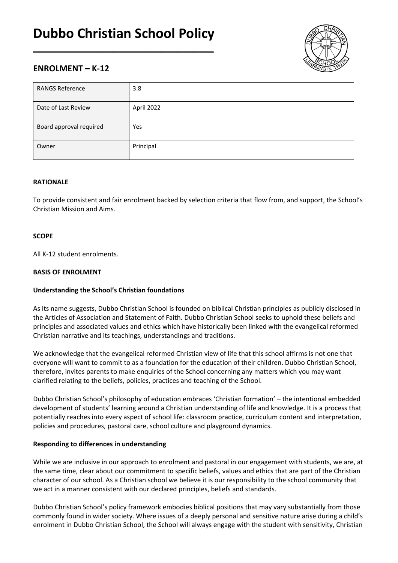# **Dubbo Christian School Policy**

\_\_\_\_\_\_\_\_\_\_\_\_\_\_\_\_\_\_\_\_\_\_\_\_\_\_\_\_\_\_\_\_\_\_\_\_\_\_\_\_\_\_\_\_\_



## **ENROLMENT – K-12**

| <b>RANGS Reference</b>  | 3.8        |
|-------------------------|------------|
| Date of Last Review     | April 2022 |
| Board approval required | Yes        |
| Owner                   | Principal  |

## **RATIONALE**

To provide consistent and fair enrolment backed by selection criteria that flow from, and support, the School's Christian Mission and Aims.

## **SCOPE**

All K-12 student enrolments.

## **BASIS OF ENROLMENT**

## **Understanding the School's Christian foundations**

As its name suggests, Dubbo Christian School is founded on biblical Christian principles as publicly disclosed in the Articles of Association and Statement of Faith. Dubbo Christian School seeks to uphold these beliefs and principles and associated values and ethics which have historically been linked with the evangelical reformed Christian narrative and its teachings, understandings and traditions.

We acknowledge that the evangelical reformed Christian view of life that this school affirms is not one that everyone will want to commit to as a foundation for the education of their children. Dubbo Christian School, therefore, invites parents to make enquiries of the School concerning any matters which you may want clarified relating to the beliefs, policies, practices and teaching of the School.

Dubbo Christian School's philosophy of education embraces 'Christian formation' – the intentional embedded development of students' learning around a Christian understanding of life and knowledge. It is a process that potentially reaches into every aspect of school life: classroom practice, curriculum content and interpretation, policies and procedures, pastoral care, school culture and playground dynamics.

#### **Responding to differences in understanding**

While we are inclusive in our approach to enrolment and pastoral in our engagement with students, we are, at the same time, clear about our commitment to specific beliefs, values and ethics that are part of the Christian character of our school. As a Christian school we believe it is our responsibility to the school community that we act in a manner consistent with our declared principles, beliefs and standards.

Dubbo Christian School's policy framework embodies biblical positions that may vary substantially from those commonly found in wider society. Where issues of a deeply personal and sensitive nature arise during a child's enrolment in Dubbo Christian School, the School will always engage with the student with sensitivity, Christian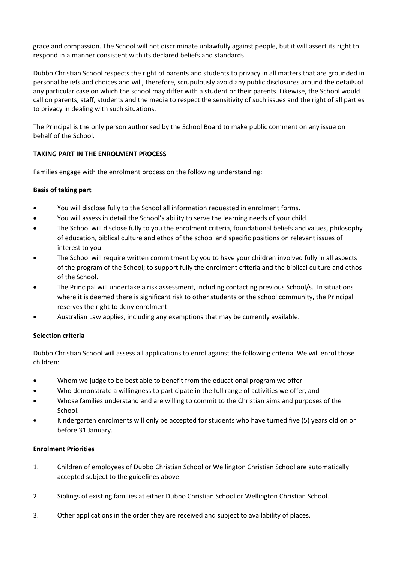grace and compassion. The School will not discriminate unlawfully against people, but it will assert its right to respond in a manner consistent with its declared beliefs and standards.

Dubbo Christian School respects the right of parents and students to privacy in all matters that are grounded in personal beliefs and choices and will, therefore, scrupulously avoid any public disclosures around the details of any particular case on which the school may differ with a student or their parents. Likewise, the School would call on parents, staff, students and the media to respect the sensitivity of such issues and the right of all parties to privacy in dealing with such situations.

The Principal is the only person authorised by the School Board to make public comment on any issue on behalf of the School.

## **TAKING PART IN THE ENROLMENT PROCESS**

Families engage with the enrolment process on the following understanding:

## **Basis of taking part**

- You will disclose fully to the School all information requested in enrolment forms.
- You will assess in detail the School's ability to serve the learning needs of your child.
- The School will disclose fully to you the enrolment criteria, foundational beliefs and values, philosophy of education, biblical culture and ethos of the school and specific positions on relevant issues of interest to you.
- The School will require written commitment by you to have your children involved fully in all aspects of the program of the School; to support fully the enrolment criteria and the biblical culture and ethos of the School.
- The Principal will undertake a risk assessment, including contacting previous School/s. In situations where it is deemed there is significant risk to other students or the school community, the Principal reserves the right to deny enrolment.
- Australian Law applies, including any exemptions that may be currently available.

## **Selection criteria**

Dubbo Christian School will assess all applications to enrol against the following criteria. We will enrol those children:

- Whom we judge to be best able to benefit from the educational program we offer
- Who demonstrate a willingness to participate in the full range of activities we offer, and
- Whose families understand and are willing to commit to the Christian aims and purposes of the School.
- Kindergarten enrolments will only be accepted for students who have turned five (5) years old on or before 31 January.

## **Enrolment Priorities**

- 1. Children of employees of Dubbo Christian School or Wellington Christian School are automatically accepted subject to the guidelines above.
- 2. Siblings of existing families at either Dubbo Christian School or Wellington Christian School.
- 3. Other applications in the order they are received and subject to availability of places.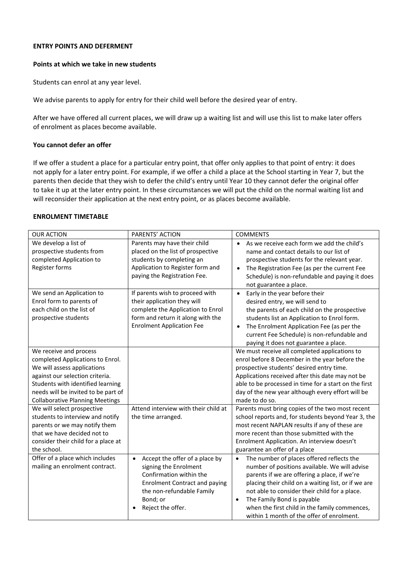#### **ENTRY POINTS AND DEFERMENT**

#### **Points at which we take in new students**

Students can enrol at any year level.

We advise parents to apply for entry for their child well before the desired year of entry.

After we have offered all current places, we will draw up a waiting list and will use this list to make later offers of enrolment as places become available.

#### **You cannot defer an offer**

If we offer a student a place for a particular entry point, that offer only applies to that point of entry: it does not apply for a later entry point. For example, if we offer a child a place at the School starting in Year 7, but the parents then decide that they wish to defer the child's entry until Year 10 they cannot defer the original offer to take it up at the later entry point. In these circumstances we will put the child on the normal waiting list and will reconsider their application at the next entry point, or as places become available.

## **ENROLMENT TIMETABLE**

| <b>OUR ACTION</b>                                                                                                                                                                                                                                  | PARENTS' ACTION                                                                                                                                                                                       | <b>COMMENTS</b>                                                                                                                                                                                                                                                                                                                                                                                          |
|----------------------------------------------------------------------------------------------------------------------------------------------------------------------------------------------------------------------------------------------------|-------------------------------------------------------------------------------------------------------------------------------------------------------------------------------------------------------|----------------------------------------------------------------------------------------------------------------------------------------------------------------------------------------------------------------------------------------------------------------------------------------------------------------------------------------------------------------------------------------------------------|
| We develop a list of<br>prospective students from<br>completed Application to<br>Register forms                                                                                                                                                    | Parents may have their child<br>placed on the list of prospective<br>students by completing an<br>Application to Register form and<br>paying the Registration Fee.                                    | As we receive each form we add the child's<br>$\bullet$<br>name and contact details to our list of<br>prospective students for the relevant year.<br>The Registration Fee (as per the current Fee<br>$\bullet$<br>Schedule) is non-refundable and paying it does<br>not guarantee a place.                                                                                                               |
| We send an Application to<br>Enrol form to parents of<br>each child on the list of<br>prospective students                                                                                                                                         | If parents wish to proceed with<br>their application they will<br>complete the Application to Enrol<br>form and return it along with the<br><b>Enrolment Application Fee</b>                          | $\bullet$<br>Early in the year before their<br>desired entry, we will send to<br>the parents of each child on the prospective<br>students list an Application to Enrol form.<br>The Enrolment Application Fee (as per the<br>$\bullet$<br>current Fee Schedule) is non-refundable and<br>paying it does not guarantee a place.                                                                           |
| We receive and process<br>completed Applications to Enrol.<br>We will assess applications<br>against our selection criteria.<br>Students with identified learning<br>needs will be invited to be part of<br><b>Collaborative Planning Meetings</b> |                                                                                                                                                                                                       | We must receive all completed applications to<br>enrol before 8 December in the year before the<br>prospective students' desired entry time.<br>Applications received after this date may not be<br>able to be processed in time for a start on the first<br>day of the new year although every effort will be<br>made to do so.                                                                         |
| We will select prospective<br>students to interview and notify<br>parents or we may notify them<br>that we have decided not to<br>consider their child for a place at<br>the school.                                                               | Attend interview with their child at<br>the time arranged.                                                                                                                                            | Parents must bring copies of the two most recent<br>school reports and, for students beyond Year 3, the<br>most recent NAPLAN results if any of these are<br>more recent than those submitted with the<br>Enrolment Application. An interview doesn't<br>guarantee an offer of a place                                                                                                                   |
| Offer of a place which includes<br>mailing an enrolment contract.                                                                                                                                                                                  | Accept the offer of a place by<br>$\bullet$<br>signing the Enrolment<br>Confirmation within the<br><b>Enrolment Contract and paying</b><br>the non-refundable Family<br>Bond; or<br>Reject the offer. | The number of places offered reflects the<br>$\bullet$<br>number of positions available. We will advise<br>parents if we are offering a place, if we're<br>placing their child on a waiting list, or if we are<br>not able to consider their child for a place.<br>The Family Bond is payable<br>$\bullet$<br>when the first child in the family commences,<br>within 1 month of the offer of enrolment. |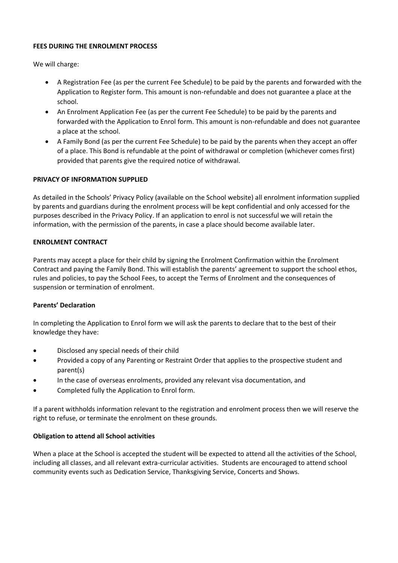#### **FEES DURING THE ENROLMENT PROCESS**

We will charge:

- A Registration Fee (as per the current Fee Schedule) to be paid by the parents and forwarded with the Application to Register form. This amount is non-refundable and does not guarantee a place at the school.
- An Enrolment Application Fee (as per the current Fee Schedule) to be paid by the parents and forwarded with the Application to Enrol form. This amount is non-refundable and does not guarantee a place at the school.
- A Family Bond (as per the current Fee Schedule) to be paid by the parents when they accept an offer of a place. This Bond is refundable at the point of withdrawal or completion (whichever comes first) provided that parents give the required notice of withdrawal.

#### **PRIVACY OF INFORMATION SUPPLIED**

As detailed in the Schools' Privacy Policy (available on the School website) all enrolment information supplied by parents and guardians during the enrolment process will be kept confidential and only accessed for the purposes described in the Privacy Policy. If an application to enrol is not successful we will retain the information, with the permission of the parents, in case a place should become available later.

#### **ENROLMENT CONTRACT**

Parents may accept a place for their child by signing the Enrolment Confirmation within the Enrolment Contract and paying the Family Bond. This will establish the parents' agreement to support the school ethos, rules and policies, to pay the School Fees, to accept the Terms of Enrolment and the consequences of suspension or termination of enrolment.

#### **Parents' Declaration**

In completing the Application to Enrol form we will ask the parents to declare that to the best of their knowledge they have:

- Disclosed any special needs of their child
- Provided a copy of any Parenting or Restraint Order that applies to the prospective student and parent(s)
- In the case of overseas enrolments, provided any relevant visa documentation, and
- Completed fully the Application to Enrol form.

If a parent withholds information relevant to the registration and enrolment process then we will reserve the right to refuse, or terminate the enrolment on these grounds.

#### **Obligation to attend all School activities**

When a place at the School is accepted the student will be expected to attend all the activities of the School, including all classes, and all relevant extra-curricular activities. Students are encouraged to attend school community events such as Dedication Service, Thanksgiving Service, Concerts and Shows.